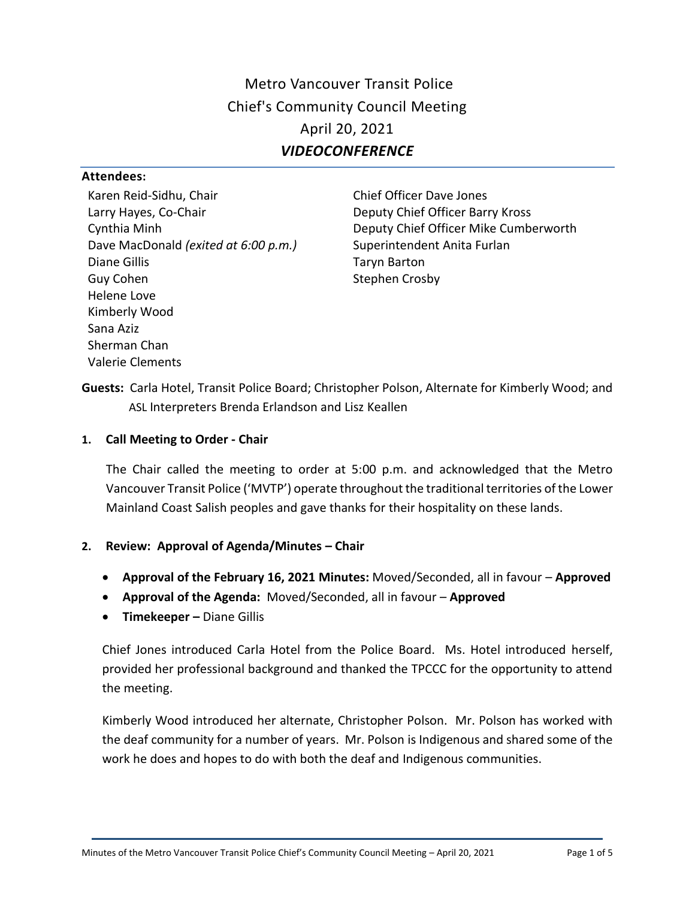Metro Vancouver Transit Police Chief's Community Council Meeting April 20, 2021 *VIDEOCONFERENCE*

#### **Attendees:**

Karen Reid-Sidhu, Chair Larry Hayes, Co-Chair Cynthia Minh Dave MacDonald *(exited at 6:00 p.m.)* Diane Gillis Guy Cohen Helene Love Kimberly Wood Sana Aziz Sherman Chan Valerie Clements

Chief Officer Dave Jones Deputy Chief Officer Barry Kross Deputy Chief Officer Mike Cumberworth Superintendent Anita Furlan Taryn Barton Stephen Crosby

**Guests:** Carla Hotel, Transit Police Board; Christopher Polson, Alternate for Kimberly Wood; and ASL Interpreters Brenda Erlandson and Lisz Keallen

### **1. Call Meeting to Order - Chair**

The Chair called the meeting to order at 5:00 p.m. and acknowledged that the Metro Vancouver Transit Police ('MVTP') operate throughout the traditional territories of the Lower Mainland Coast Salish peoples and gave thanks for their hospitality on these lands.

# **2. Review: Approval of Agenda/Minutes – Chair**

- **Approval of the February 16, 2021 Minutes:** Moved/Seconded, all in favour **Approved**
- **Approval of the Agenda:** Moved/Seconded, all in favour **Approved**
- **Timekeeper –** Diane Gillis

Chief Jones introduced Carla Hotel from the Police Board. Ms. Hotel introduced herself, provided her professional background and thanked the TPCCC for the opportunity to attend the meeting.

Kimberly Wood introduced her alternate, Christopher Polson. Mr. Polson has worked with the deaf community for a number of years. Mr. Polson is Indigenous and shared some of the work he does and hopes to do with both the deaf and Indigenous communities.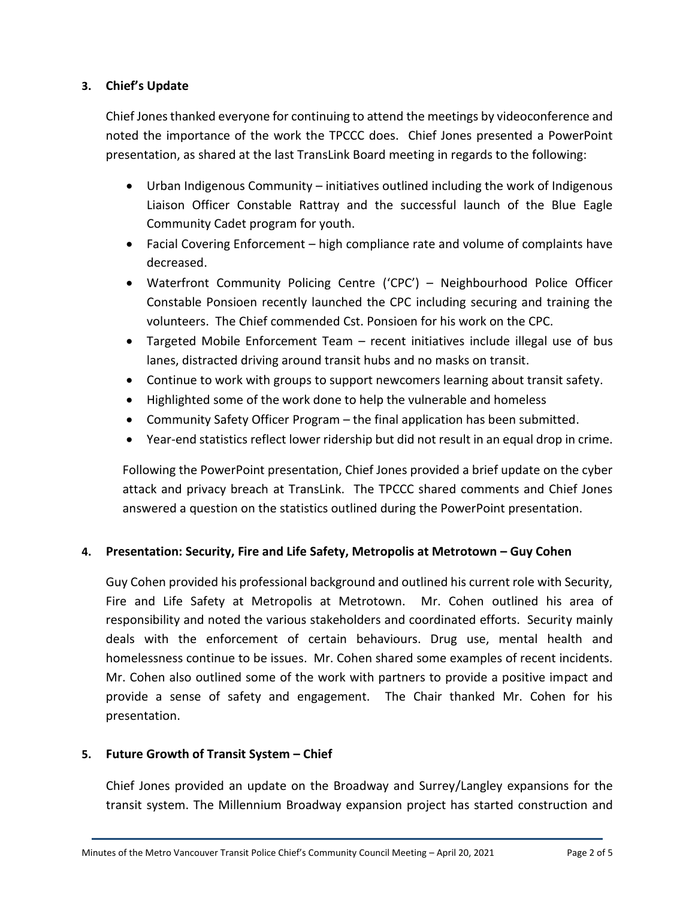### **3. Chief's Update**

Chief Jones thanked everyone for continuing to attend the meetings by videoconference and noted the importance of the work the TPCCC does. Chief Jones presented a PowerPoint presentation, as shared at the last TransLink Board meeting in regards to the following:

- Urban Indigenous Community initiatives outlined including the work of Indigenous Liaison Officer Constable Rattray and the successful launch of the Blue Eagle Community Cadet program for youth.
- Facial Covering Enforcement high compliance rate and volume of complaints have decreased.
- Waterfront Community Policing Centre ('CPC') Neighbourhood Police Officer Constable Ponsioen recently launched the CPC including securing and training the volunteers. The Chief commended Cst. Ponsioen for his work on the CPC.
- Targeted Mobile Enforcement Team recent initiatives include illegal use of bus lanes, distracted driving around transit hubs and no masks on transit.
- Continue to work with groups to support newcomers learning about transit safety.
- Highlighted some of the work done to help the vulnerable and homeless
- Community Safety Officer Program the final application has been submitted.
- Year-end statistics reflect lower ridership but did not result in an equal drop in crime.

Following the PowerPoint presentation, Chief Jones provided a brief update on the cyber attack and privacy breach at TransLink. The TPCCC shared comments and Chief Jones answered a question on the statistics outlined during the PowerPoint presentation.

# **4. Presentation: Security, Fire and Life Safety, Metropolis at Metrotown – Guy Cohen**

Guy Cohen provided his professional background and outlined his current role with Security, Fire and Life Safety at Metropolis at Metrotown. Mr. Cohen outlined his area of responsibility and noted the various stakeholders and coordinated efforts. Security mainly deals with the enforcement of certain behaviours. Drug use, mental health and homelessness continue to be issues. Mr. Cohen shared some examples of recent incidents. Mr. Cohen also outlined some of the work with partners to provide a positive impact and provide a sense of safety and engagement. The Chair thanked Mr. Cohen for his presentation.

### **5. Future Growth of Transit System – Chief**

Chief Jones provided an update on the Broadway and Surrey/Langley expansions for the transit system. The Millennium Broadway expansion project has started construction and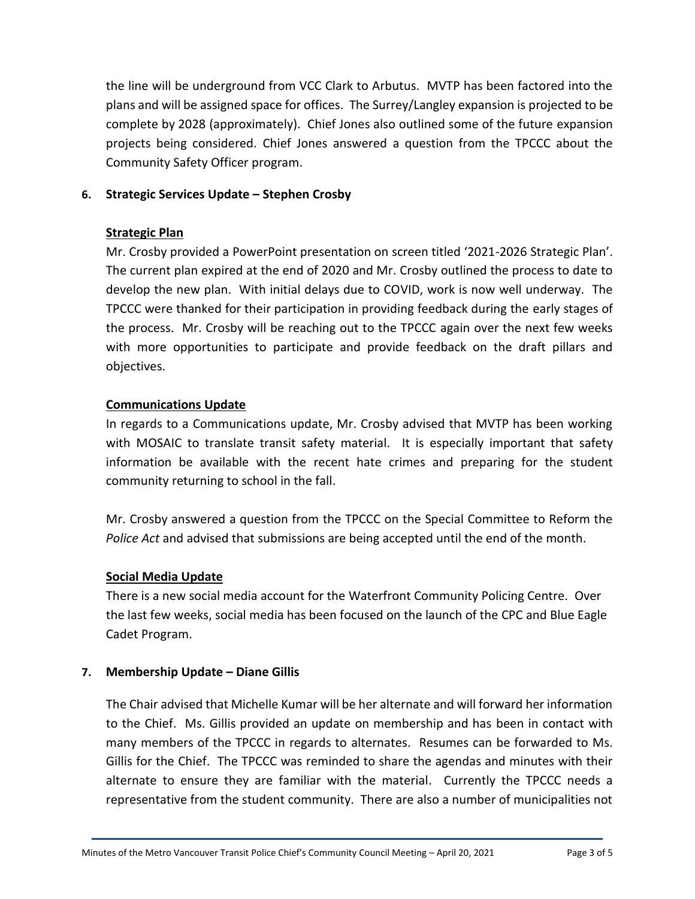the line will be underground from VCC Clark to Arbutus. MVTP has been factored into the plans and will be assigned space for offices. The Surrey/Langley expansion is projected to be complete by 2028 (approximately). Chief Jones also outlined some of the future expansion projects being considered. Chief Jones answered a question from the TPCCC about the Community Safety Officer program.

### **6. Strategic Services Update – Stephen Crosby**

### **Strategic Plan**

Mr. Crosby provided a PowerPoint presentation on screen titled '2021-2026 Strategic Plan'. The current plan expired at the end of 2020 and Mr. Crosby outlined the process to date to develop the new plan. With initial delays due to COVID, work is now well underway. The TPCCC were thanked for their participation in providing feedback during the early stages of the process. Mr. Crosby will be reaching out to the TPCCC again over the next few weeks with more opportunities to participate and provide feedback on the draft pillars and objectives.

### **Communications Update**

In regards to a Communications update, Mr. Crosby advised that MVTP has been working with MOSAIC to translate transit safety material. It is especially important that safety information be available with the recent hate crimes and preparing for the student community returning to school in the fall.

Mr. Crosby answered a question from the TPCCC on the Special Committee to Reform the *Police Act* and advised that submissions are being accepted until the end of the month.

# **Social Media Update**

There is a new social media account for the Waterfront Community Policing Centre. Over the last few weeks, social media has been focused on the launch of the CPC and Blue Eagle Cadet Program.

### **7. Membership Update – Diane Gillis**

The Chair advised that Michelle Kumar will be her alternate and will forward her information to the Chief. Ms. Gillis provided an update on membership and has been in contact with many members of the TPCCC in regards to alternates. Resumes can be forwarded to Ms. Gillis for the Chief. The TPCCC was reminded to share the agendas and minutes with their alternate to ensure they are familiar with the material. Currently the TPCCC needs a representative from the student community. There are also a number of municipalities not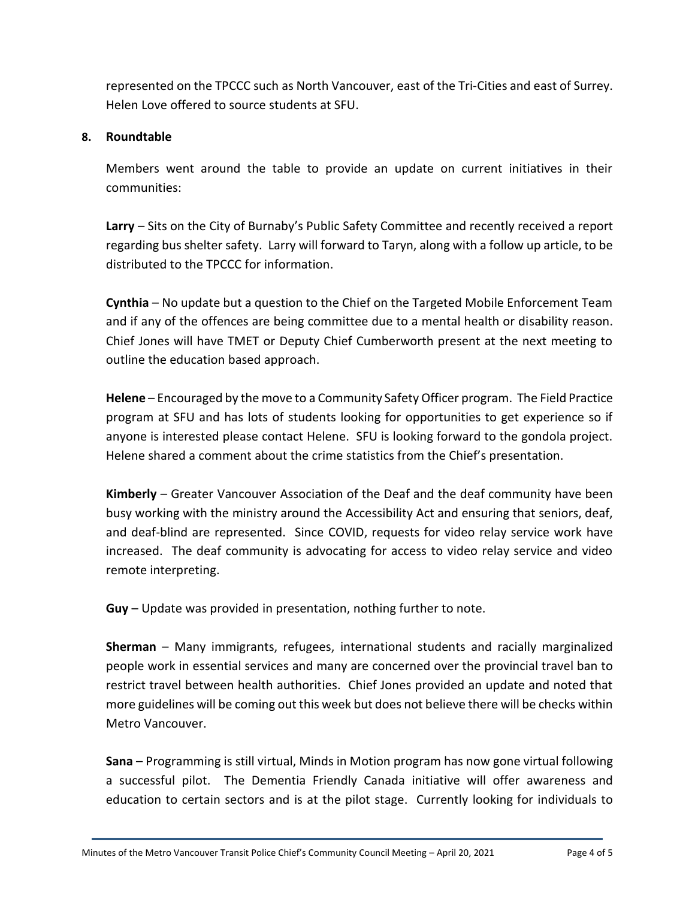represented on the TPCCC such as North Vancouver, east of the Tri-Cities and east of Surrey. Helen Love offered to source students at SFU.

### **8. Roundtable**

Members went around the table to provide an update on current initiatives in their communities:

**Larry** – Sits on the City of Burnaby's Public Safety Committee and recently received a report regarding bus shelter safety. Larry will forward to Taryn, along with a follow up article, to be distributed to the TPCCC for information.

**Cynthia** – No update but a question to the Chief on the Targeted Mobile Enforcement Team and if any of the offences are being committee due to a mental health or disability reason. Chief Jones will have TMET or Deputy Chief Cumberworth present at the next meeting to outline the education based approach.

**Helene** – Encouraged by the move to a Community Safety Officer program. The Field Practice program at SFU and has lots of students looking for opportunities to get experience so if anyone is interested please contact Helene. SFU is looking forward to the gondola project. Helene shared a comment about the crime statistics from the Chief's presentation.

**Kimberly** – Greater Vancouver Association of the Deaf and the deaf community have been busy working with the ministry around the Accessibility Act and ensuring that seniors, deaf, and deaf-blind are represented. Since COVID, requests for video relay service work have increased. The deaf community is advocating for access to video relay service and video remote interpreting.

**Guy** – Update was provided in presentation, nothing further to note.

**Sherman** – Many immigrants, refugees, international students and racially marginalized people work in essential services and many are concerned over the provincial travel ban to restrict travel between health authorities. Chief Jones provided an update and noted that more guidelines will be coming out this week but does not believe there will be checks within Metro Vancouver.

**Sana** – Programming is still virtual, Minds in Motion program has now gone virtual following a successful pilot. The Dementia Friendly Canada initiative will offer awareness and education to certain sectors and is at the pilot stage. Currently looking for individuals to